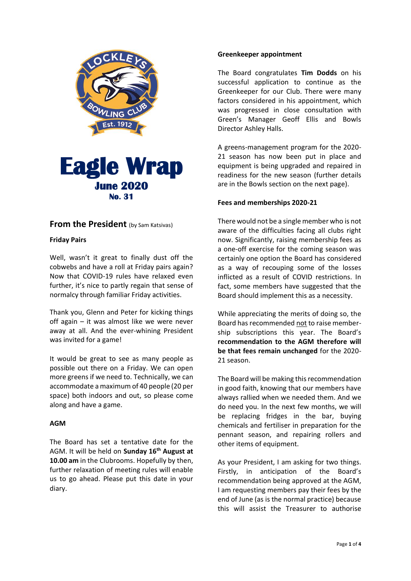



# **From the President** (by Sam Katsivas)

#### **Friday Pairs**

Well, wasn't it great to finally dust off the cobwebs and have a roll at Friday pairs again? Now that COVID-19 rules have relaxed even further, it's nice to partly regain that sense of normalcy through familiar Friday activities.

Thank you, Glenn and Peter for kicking things off again – it was almost like we were never away at all. And the ever-whining President was invited for a game!

It would be great to see as many people as possible out there on a Friday. We can open more greens if we need to. Technically, we can accommodate a maximum of 40 people (20 per space) both indoors and out, so please come along and have a game.

#### **AGM**

The Board has set a tentative date for the AGM. It will be held on **Sunday 16th August at 10.00 am** in the Clubrooms. Hopefully by then, further relaxation of meeting rules will enable us to go ahead. Please put this date in your diary.

#### **Greenkeeper appointment**

The Board congratulates **Tim Dodds** on his successful application to continue as the Greenkeeper for our Club. There were many factors considered in his appointment, which was progressed in close consultation with Green's Manager Geoff Ellis and Bowls Director Ashley Halls.

A greens-management program for the 2020- 21 season has now been put in place and equipment is being upgraded and repaired in readiness for the new season (further details are in the Bowls section on the next page).

#### **Fees and memberships 2020-21**

There would not be a single member who is not aware of the difficulties facing all clubs right now. Significantly, raising membership fees as a one-off exercise for the coming season was certainly one option the Board has considered as a way of recouping some of the losses inflicted as a result of COVID restrictions. In fact, some members have suggested that the Board should implement this as a necessity.

While appreciating the merits of doing so, the Board has recommended not to raise membership subscriptions this year. The Board's **recommendation to the AGM therefore will be that fees remain unchanged** for the 2020- 21 season.

The Board will be making this recommendation in good faith, knowing that our members have always rallied when we needed them. And we do need you. In the next few months, we will be replacing fridges in the bar, buying chemicals and fertiliser in preparation for the pennant season, and repairing rollers and other items of equipment.

As your President, I am asking for two things. Firstly, in anticipation of the Board's recommendation being approved at the AGM, I am requesting members pay their fees by the end of June (as is the normal practice) because this will assist the Treasurer to authorise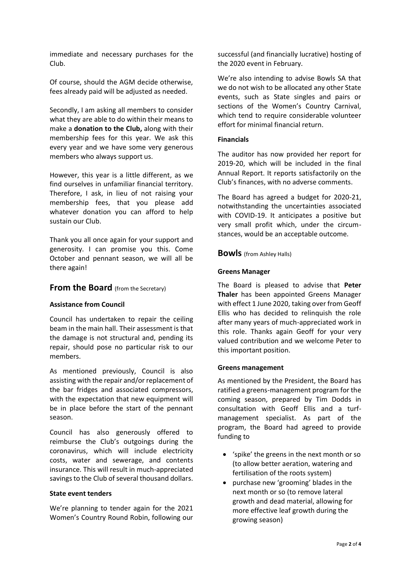immediate and necessary purchases for the Club.

Of course, should the AGM decide otherwise, fees already paid will be adjusted as needed.

Secondly, I am asking all members to consider what they are able to do within their means to make a **donation to the Club,** along with their membership fees for this year. We ask this every year and we have some very generous members who always support us.

However, this year is a little different, as we find ourselves in unfamiliar financial territory. Therefore, I ask, in lieu of not raising your membership fees, that you please add whatever donation you can afford to help sustain our Club.

Thank you all once again for your support and generosity. I can promise you this. Come October and pennant season, we will all be there again!

## **From the Board** (from the Secretary)

#### **Assistance from Council**

Council has undertaken to repair the ceiling beam in the main hall. Their assessment is that the damage is not structural and, pending its repair, should pose no particular risk to our members.

As mentioned previously, Council is also assisting with the repair and/or replacement of the bar fridges and associated compressors, with the expectation that new equipment will be in place before the start of the pennant season.

Council has also generously offered to reimburse the Club's outgoings during the coronavirus, which will include electricity costs, water and sewerage, and contents insurance. This will result in much-appreciated savings to the Club of several thousand dollars.

#### **State event tenders**

We're planning to tender again for the 2021 Women's Country Round Robin, following our

successful (and financially lucrative) hosting of the 2020 event in February.

We're also intending to advise Bowls SA that we do not wish to be allocated any other State events, such as State singles and pairs or sections of the Women's Country Carnival, which tend to require considerable volunteer effort for minimal financial return.

#### **Financials**

The auditor has now provided her report for 2019-20, which will be included in the final Annual Report. It reports satisfactorily on the Club's finances, with no adverse comments.

The Board has agreed a budget for 2020-21, notwithstanding the uncertainties associated with COVID-19. It anticipates a positive but very small profit which, under the circumstances, would be an acceptable outcome.

#### **Bowls** (from Ashley Halls)

#### **Greens Manager**

The Board is pleased to advise that **Peter Thaler** has been appointed Greens Manager with effect 1 June 2020, taking over from Geoff Ellis who has decided to relinquish the role after many years of much-appreciated work in this role. Thanks again Geoff for your very valued contribution and we welcome Peter to this important position.

#### **Greens management**

As mentioned by the President, the Board has ratified a greens-management program for the coming season, prepared by Tim Dodds in consultation with Geoff Ellis and a turfmanagement specialist. As part of the program, the Board had agreed to provide funding to

- 'spike' the greens in the next month or so (to allow better aeration, watering and fertilisation of the roots system)
- purchase new 'grooming' blades in the next month or so (to remove lateral growth and dead material, allowing for more effective leaf growth during the growing season)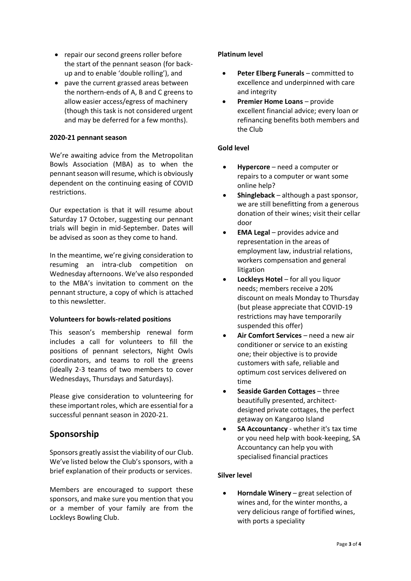- repair our second greens roller before the start of the pennant season (for backup and to enable 'double rolling'), and
- pave the current grassed areas between the northern-ends of A, B and C greens to allow easier access/egress of machinery (though this task is not considered urgent and may be deferred for a few months).

## **2020-21 pennant season**

We're awaiting advice from the Metropolitan Bowls Association (MBA) as to when the pennant season will resume, which is obviously dependent on the continuing easing of COVID restrictions.

Our expectation is that it will resume about Saturday 17 October, suggesting our pennant trials will begin in mid-September. Dates will be advised as soon as they come to hand.

In the meantime, we're giving consideration to resuming an intra-club competition on Wednesday afternoons. We've also responded to the MBA's invitation to comment on the pennant structure, a copy of which is attached to this newsletter.

#### **Volunteers for bowls-related positions**

This season's membership renewal form includes a call for volunteers to fill the positions of pennant selectors, Night Owls coordinators, and teams to roll the greens (ideally 2-3 teams of two members to cover Wednesdays, Thursdays and Saturdays).

Please give consideration to volunteering for these important roles, which are essential for a successful pennant season in 2020-21.

# **Sponsorship**

Sponsors greatly assist the viability of our Club. We've listed below the Club's sponsors, with a brief explanation of their products or services.

Members are encouraged to support these sponsors, and make sure you mention that you or a member of your family are from the Lockleys Bowling Club.

## **Platinum level**

- **Peter Elberg Funerals** committed to excellence and underpinned with care and integrity
- **Premier Home Loans** provide excellent financial advice; every loan or refinancing benefits both members and the Club

## **Gold level**

- **Hypercore** need a computer or repairs to a computer or want some online help?
- **Shingleback** although a past sponsor, we are still benefitting from a generous donation of their wines; visit their cellar door
- **EMA Legal** provides advice and representation in the areas of employment law, industrial relations, workers compensation and general litigation
- **Lockleys Hotel** for all you liquor needs; members receive a 20% discount on meals Monday to Thursday (but please appreciate that COVID-19 restrictions may have temporarily suspended this offer)
- **Air Comfort Services** need a new air conditioner or service to an existing one; their objective is to provide customers with safe, reliable and optimum cost services delivered on time
- **Seaside Garden Cottages** three beautifully presented, architectdesigned private cottages, the perfect getaway on Kangaroo Island
- **SA Accountancy** whether it's tax time or you need help with book-keeping, SA Accountancy can help you with specialised financial practices

# **Silver level**

• **Horndale Winery** – great selection of wines and, for the winter months, a very delicious range of fortified wines, with ports a speciality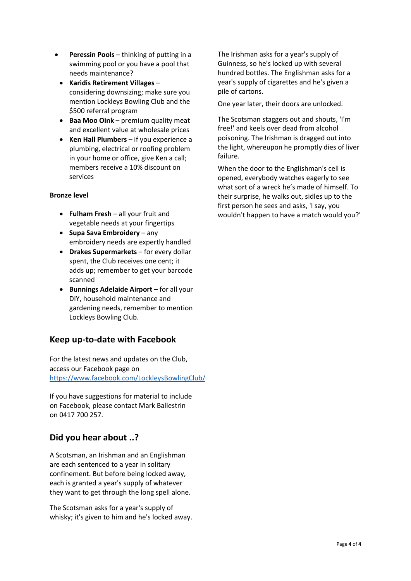- **Peressin Pools** thinking of putting in a swimming pool or you have a pool that needs maintenance?
- **Karidis Retirement Villages** considering downsizing; make sure you mention Lockleys Bowling Club and the \$500 referral program
- **Baa Moo Oink** premium quality meat and excellent value at wholesale prices
- **Ken Hall Plumbers** if you experience a plumbing, electrical or roofing problem in your home or office, give Ken a call; members receive a 10% discount on services

#### **Bronze level**

- **Fulham Fresh** all your fruit and vegetable needs at your fingertips
- **Supa Sava Embroidery** any embroidery needs are expertly handled
- **Drakes Supermarkets** for every dollar spent, the Club receives one cent; it adds up; remember to get your barcode scanned
- **Bunnings Adelaide Airport** for all your DIY, household maintenance and gardening needs, remember to mention Lockleys Bowling Club.

# **Keep up-to-date with Facebook**

For the latest news and updates on the Club, access our Facebook page on <https://www.facebook.com/LockleysBowlingClub/>

If you have suggestions for material to include on Facebook, please contact Mark Ballestrin on 0417 700 257.

# **Did you hear about ..?**

A Scotsman, an Irishman and an Englishman are each sentenced to a year in solitary confinement. But before being locked away, each is granted a year's supply of whatever they want to get through the long spell alone.

The Scotsman asks for a year's supply of whisky; it's given to him and he's locked away. The Irishman asks for a year's supply of Guinness, so he's locked up with several hundred bottles. The Englishman asks for a year's supply of cigarettes and he's given a pile of cartons.

One year later, their doors are unlocked.

The Scotsman staggers out and shouts, 'I'm free!' and keels over dead from alcohol poisoning. The Irishman is dragged out into the light, whereupon he promptly dies of liver failure.

When the door to the Englishman's cell is opened, everybody watches eagerly to see what sort of a wreck he's made of himself. To their surprise, he walks out, sidles up to the first person he sees and asks, 'I say, you wouldn't happen to have a match would you?'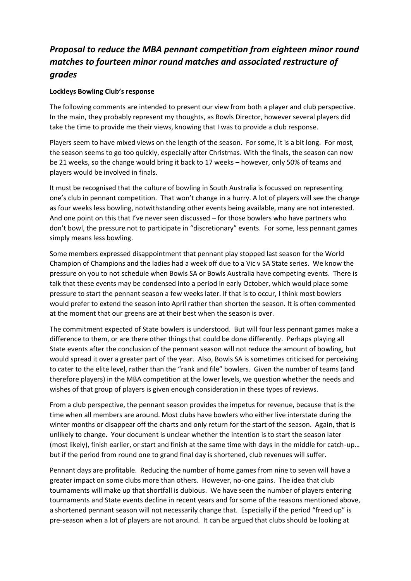# *Proposal to reduce the MBA pennant competition from eighteen minor round matches to fourteen minor round matches and associated restructure of grades*

## **Lockleys Bowling Club's response**

The following comments are intended to present our view from both a player and club perspective. In the main, they probably represent my thoughts, as Bowls Director, however several players did take the time to provide me their views, knowing that I was to provide a club response.

Players seem to have mixed views on the length of the season. For some, it is a bit long. For most, the season seems to go too quickly, especially after Christmas. With the finals, the season can now be 21 weeks, so the change would bring it back to 17 weeks – however, only 50% of teams and players would be involved in finals.

It must be recognised that the culture of bowling in South Australia is focussed on representing one's club in pennant competition. That won't change in a hurry. A lot of players will see the change as four weeks less bowling, notwithstanding other events being available, many are not interested. And one point on this that I've never seen discussed – for those bowlers who have partners who don't bowl, the pressure not to participate in "discretionary" events. For some, less pennant games simply means less bowling.

Some members expressed disappointment that pennant play stopped last season for the World Champion of Champions and the ladies had a week off due to a Vic v SA State series. We know the pressure on you to not schedule when Bowls SA or Bowls Australia have competing events. There is talk that these events may be condensed into a period in early October, which would place some pressure to start the pennant season a few weeks later. If that is to occur, I think most bowlers would prefer to extend the season into April rather than shorten the season. It is often commented at the moment that our greens are at their best when the season is over.

The commitment expected of State bowlers is understood. But will four less pennant games make a difference to them, or are there other things that could be done differently. Perhaps playing all State events after the conclusion of the pennant season will not reduce the amount of bowling, but would spread it over a greater part of the year. Also, Bowls SA is sometimes criticised for perceiving to cater to the elite level, rather than the "rank and file" bowlers. Given the number of teams (and therefore players) in the MBA competition at the lower levels, we question whether the needs and wishes of that group of players is given enough consideration in these types of reviews.

From a club perspective, the pennant season provides the impetus for revenue, because that is the time when all members are around. Most clubs have bowlers who either live interstate during the winter months or disappear off the charts and only return for the start of the season. Again, that is unlikely to change. Your document is unclear whether the intention is to start the season later (most likely), finish earlier, or start and finish at the same time with days in the middle for catch-up… but if the period from round one to grand final day is shortened, club revenues will suffer.

Pennant days are profitable. Reducing the number of home games from nine to seven will have a greater impact on some clubs more than others. However, no-one gains. The idea that club tournaments will make up that shortfall is dubious. We have seen the number of players entering tournaments and State events decline in recent years and for some of the reasons mentioned above, a shortened pennant season will not necessarily change that. Especially if the period "freed up" is pre-season when a lot of players are not around. It can be argued that clubs should be looking at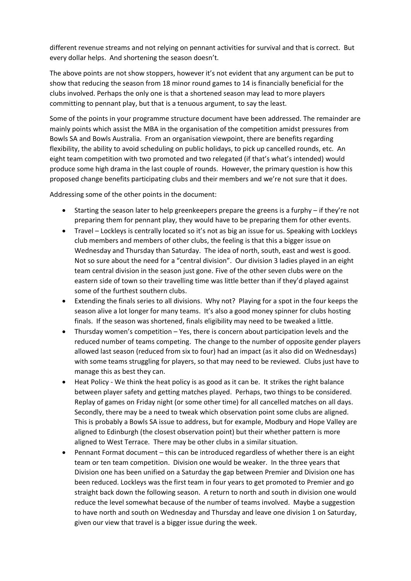different revenue streams and not relying on pennant activities for survival and that is correct. But every dollar helps. And shortening the season doesn't.

The above points are not show stoppers, however it's not evident that any argument can be put to show that reducing the season from 18 minor round games to 14 is financially beneficial for the clubs involved. Perhaps the only one is that a shortened season may lead to more players committing to pennant play, but that is a tenuous argument, to say the least.

Some of the points in your programme structure document have been addressed. The remainder are mainly points which assist the MBA in the organisation of the competition amidst pressures from Bowls SA and Bowls Australia. From an organisation viewpoint, there are benefits regarding flexibility, the ability to avoid scheduling on public holidays, to pick up cancelled rounds, etc. An eight team competition with two promoted and two relegated (if that's what's intended) would produce some high drama in the last couple of rounds. However, the primary question is how this proposed change benefits participating clubs and their members and we're not sure that it does.

Addressing some of the other points in the document:

- Starting the season later to help greenkeepers prepare the greens is a furphy if they're not preparing them for pennant play, they would have to be preparing them for other events.
- Travel Lockleys is centrally located so it's not as big an issue for us. Speaking with Lockleys club members and members of other clubs, the feeling is that this a bigger issue on Wednesday and Thursday than Saturday. The idea of north, south, east and west is good. Not so sure about the need for a "central division". Our division 3 ladies played in an eight team central division in the season just gone. Five of the other seven clubs were on the eastern side of town so their travelling time was little better than if they'd played against some of the furthest southern clubs.
- Extending the finals series to all divisions. Why not? Playing for a spot in the four keeps the season alive a lot longer for many teams. It's also a good money spinner for clubs hosting finals. If the season was shortened, finals eligibility may need to be tweaked a little.
- Thursday women's competition Yes, there is concern about participation levels and the reduced number of teams competing. The change to the number of opposite gender players allowed last season (reduced from six to four) had an impact (as it also did on Wednesdays) with some teams struggling for players, so that may need to be reviewed. Clubs just have to manage this as best they can.
- Heat Policy We think the heat policy is as good as it can be. It strikes the right balance between player safety and getting matches played. Perhaps, two things to be considered. Replay of games on Friday night (or some other time) for all cancelled matches on all days. Secondly, there may be a need to tweak which observation point some clubs are aligned. This is probably a Bowls SA issue to address, but for example, Modbury and Hope Valley are aligned to Edinburgh (the closest observation point) but their whether pattern is more aligned to West Terrace. There may be other clubs in a similar situation.
- Pennant Format document this can be introduced regardless of whether there is an eight team or ten team competition. Division one would be weaker. In the three years that Division one has been unified on a Saturday the gap between Premier and Division one has been reduced. Lockleys was the first team in four years to get promoted to Premier and go straight back down the following season. A return to north and south in division one would reduce the level somewhat because of the number of teams involved. Maybe a suggestion to have north and south on Wednesday and Thursday and leave one division 1 on Saturday, given our view that travel is a bigger issue during the week.